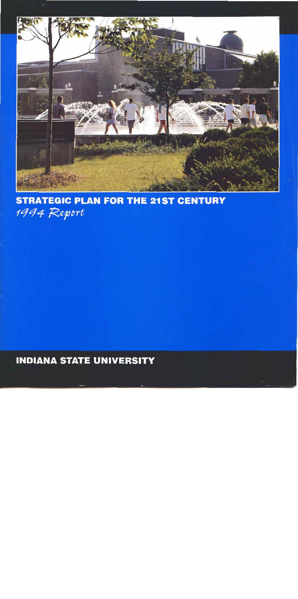

## **STRATEGIC PLAN FOR THE 21ST CENTURY** 1994 Report

**BNDlANA STATE UNlVERSlTY**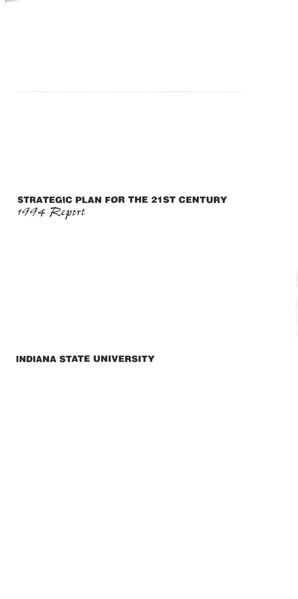# **STRATEGIC PLAN FOR THE 21ST CENTURY**  1994 Report

## **INDIANA STATE UNIVERSITY**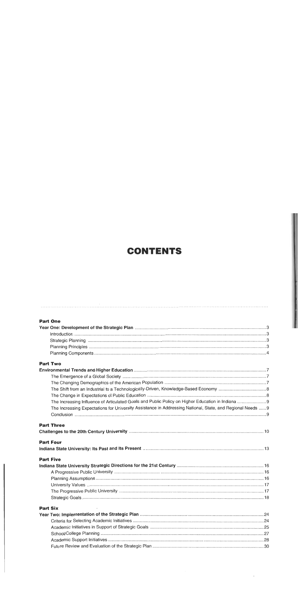## **CONTENTS**

| <b>Part One</b>                                                                                            |  |
|------------------------------------------------------------------------------------------------------------|--|
|                                                                                                            |  |
|                                                                                                            |  |
|                                                                                                            |  |
|                                                                                                            |  |
|                                                                                                            |  |
| <b>Part Two</b>                                                                                            |  |
|                                                                                                            |  |
|                                                                                                            |  |
|                                                                                                            |  |
|                                                                                                            |  |
|                                                                                                            |  |
|                                                                                                            |  |
| The Increasing Expectations for University Assistance in Addressing National, State, and Regional Needs  9 |  |
|                                                                                                            |  |
| <b>Part Three</b>                                                                                          |  |
| <b>Part Four</b>                                                                                           |  |
| <b>Part Five</b>                                                                                           |  |
|                                                                                                            |  |
|                                                                                                            |  |
|                                                                                                            |  |
|                                                                                                            |  |
|                                                                                                            |  |
|                                                                                                            |  |
| <b>Part Six</b>                                                                                            |  |
|                                                                                                            |  |
|                                                                                                            |  |
|                                                                                                            |  |
|                                                                                                            |  |
|                                                                                                            |  |
|                                                                                                            |  |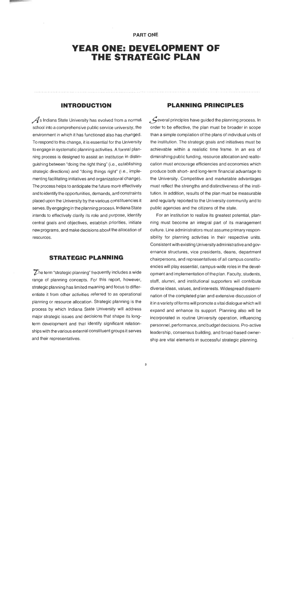#### **PART ONE**

## **YEAR ONE: DEVELOPMENT OF THE STRATEGIC PLAN**

## **INTRODUCTION**

 $\mathcal A$ s Indiana State University has evolved from a normal school into a comprehensive public service university, the environment in which it has functioned also has changed. To respond to this change, it is essential for the University to engage in systematic planning activities. A formal planning process is designed to assist an institution in distinguishing between "doing the right thing" (i.e., establishing strategic directions) and "doing things right" (i.e., implementing facilitating initiatives and organizational change). The process helps to anticipate the future more effectively and to identify the opportunities, demands, and constraints placed upon the University by the various constituencies it serves. By engaging in the planning process, Indiana State intends to effectively clarify its role and purpose, identify central goals and objectives, establish priorities, initiate new programs, and make decisions about the allocation of resources.

## **STRATEGIC PLANNING**

 $\overline{Z}$  he term "strategic planning" frequently includes a wide range of planning concepts. For this report, however, strategic planning has limited meaning and focus to differentiate it from other activities referred to as operational planning or resource allocation. Strategic planning is the process by which lndiana State University will address major strategic issues and decisions that shape its longterm development and that identify significant relationships with thevarious external constituent groups it serves and their representatives.

### **PLANNING PRINCIPLES**

 $\mathcal{L}$  everal principles have quided the planning process. In order to be effective, the plan must be broader in scope than a simple compilation of the plans of individual units of the institution. The strategic goals and initiatives must be achievable within a realistic time frame. In an era of diminishing public funding, resource allocation and reallocation must encourage efficiencies and economies which produce both short- and long-term financial advantage to the University. Competitive and marketable advantages must reflect the strengths and distinctiveness of the institution. In addition, results of the plan must be measurable and regularly reported to the University community and to public agencies and the citizens of the state.

For an institution to realize its greatest potential, planning must become an integral part of its management culture. Line administrators must assume primary responsibility for planning activities in their respective units. Consistent with existing University administrative and governance structures, vice presidents, deans, department chairpersons, and representatives of all campus constituencies will play essential, campus-wide roles in the development and implementation of the plan. Faculty, students, staff, alumni, and institutional supporters will contribute diverse ideas, values, and interests. Widespread dissemination of the completed plan and extensive discussion of it in avariety of forms will promote avital dialogue which will expand and enhance its support. Planning also will be incorporated in routine University operation, influencing personnel, performance, and budget decisions. Pro-active leadership, consensus building, and broad-based ownership are vital elements in successful strategic planning.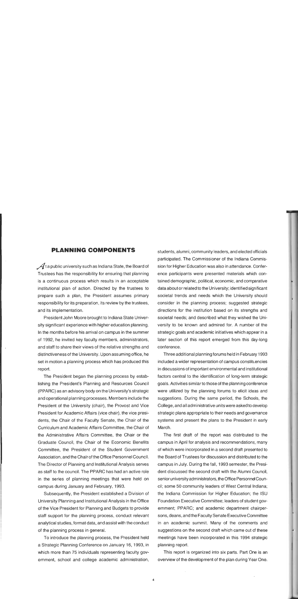## **PLANNING COMPONENTS**

 $\mathcal A$ t a public university such as Indiana State, the Board of Trustees has the responsibility for ensuring that planning is a continuous process which results in an acceptable institutional plan of action. Directed by the trustees to prepare such a plan, the President assumes primary responsibility for its preparation, its review by the trustees, and its implementation.

President John Moore brought to lndiana State University significant experience with higher education planning. In the months before his arrival on campus in the summer of 1992, he invited key faculty members, administrators, and staff to share their views of the relative strengths and distinctiveness of the University. Upon assuming office, he set in motion a planning process which has produced this report.

The President began the planning process by establishing the President's Planning and Resources Council (PPARC) as an advisory body on the University's strategic and operational planning processes. Members include the President of the University (chair), the Provost and Vice President for Academic Affairs (vice chair), the vice presidents, the Chair of the Faculty Senate, the Chair of the Curriculum and Academic Affairs Committee, the Chair of the Administrative Affairs Committee, the Chair or the Graduate Council, the Chair of the Economic Benefits Committee, the President of the Student Government Association, and the Chair of the Office Personnel Council. The Director of Planning and Institutional Analysis serves as staff to the council. The PPARC has had an active role in the series of planning meetings that were held on campus during January and February, 1993.

Subsequently, the President established a Division of University Planning and Institutional Analysis in the Office of the Vice President for Planning and Budgets to provide staff support for the planning process, conduct relevant analytical studies, format data, and assist with the conduct of the planning process in general.

To introduce the planning process, the President held a Strategic Planning Conference on January 16, 1993, in which more than 75 individuals representing faculty government, school and college academic administration,

students, alumni, community leaders, and elected officials participated. The Commissioner of the lndiana Commission for Higher Education was also in attendance. Conference participants were presented materials which contained demographic, political, economic, and comparative data about or related to the University; identified significant societal trends and needs which the University should consider in the planning process; suggested strategic directions for the institution based on its strengths and societal needs; and described what they wished the University to be known and admired for. A number of the strategic goals and academic initiatives which appear in a later section of this report emerged from this day-long conference.

Three additional planning forums held in February 1993 included a wider representation of campus constituencies in discussions of important environmental and institutional factors central to the identification of long-term strategic goals. Activities similar to those of the planning conference were utilized by the planning forums to elicit ideas and suggestions. During the same period, the Schools, the College, and all administrative units were asked to develop strategic plans appropriate to their needs and governance systems and present the plans to the President in early March.

The first draft of the report was distributed to the campus in April for analysis and recommendations, many of which were incorporated in a second draft presented to the Board of Trustees for discussion and distributed to the campus in July. During the fall, 1993 semester, the President discussed the second draft with the Alumni Council, senior university administrators, the Office Personnel Council; some 50 community leaders of West Central Indiana; the lndiana Commission for Higher Education; the ISU Foundation Executive Committee; leaders of student government; PPARC; and academic department chairpersons, deans, and the Faculty Senate Executive Committee in an academic summit. Many of the comments and suggestions on the second draft which came out of these meetings have been incorporated in this 1994 strategic planning report.

This report is organized into six parts. Part One is an overview of the development of the plan during Year One.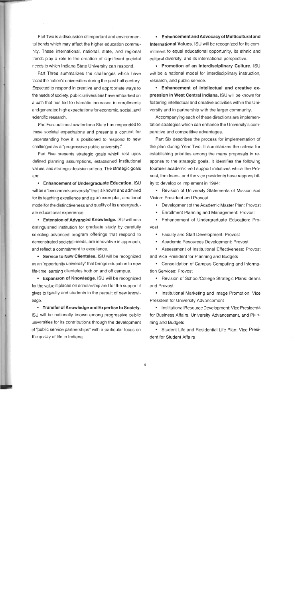Part Two is a discussion of important and environmental trends which may affect the higher education community. These international, national, state, and regional trends play a role in the creation of significant societal needs to which lndiana State University can respond.

Part Three summarizes the challenges which have faced the nation's universities during the past half century. Expected to respond in creative and appropriate ways to the needs of society, public universities have embarked on a path that has led to dramatic increases in enrollments and generated high expectations for economic, social, and scientific research.

Part Four outlines how lndiana State has responded to these societal expectations and presents a context for understanding how it is positioned to respond to new challenges as a "progressive public university."

Part Five presents strategic goals which rest upon defined planning assumptions, established institutional values, and strategic decision criteria. The strategic goals are:

Enhancement of Undergraduate Education. ISU will be a "benchmark university" that is known and admired for its teaching excellence and as an exemplar, a national model for the distinctiveness and quality of its undergraduate educational experience.

Extension of Advanced Knowledge. ISU will be a distinguished institution for graduate study by carefully selecting advanced program offerings that respond to demonstrated societal needs, are innovative in approach, and reflect a commitment to excellence.

• Service to New Clienteles. ISU will be recognized as an "opportunity university" that brings education to new life-time learning clienteles both on and off campus.

Expansion of Knowledge. ISU will be recognized for the value it places on scholarship and for the support it gives to faculty and students in the pursuit of new knowledge.

Transfer of Knowledge and Expertise to Society. ISU will be nationally known among progressive public universities for its contributions through the development of "public service partnerships" with a particular focus on the quality of life in Indiana.

Enhancement and Advocacy of Multicultural and International Values. ISU will be recognized for its commitment to equal educational opportunity, its ethnic and cultural diversity, and its international perspective.

Promotion of an Interdisciplinary Culture. ISU will be a national model for interdisciplinary instruction, research, and public service.

Enhancement of intellectual and creative expression in West Central Indiana. ISU will be known for fostering intellectual and creative activities within the University and in partnership with the larger community.

Accompanying each of these directions are implementation strategies which can enhance the University's comparative and competitive advantages.

Part Six describes the process for implementation of the plan during Year Two. It summarizes the criteria for establishing priorities among the many proposals in response to the strategic goals. It identifies the following fourteen academic and support initiatives which the Provost, the deans, and the vice presidents have responsibility to develop or implement in 1994:

• Revision of University Statements of Mission and Vision: President and Provost

Development of the Academic Master Plan: Provost

Enrollment Planning and Management: Provost

Enhancement of Undergraduate Education: Provost

Faculty and Staff Development: Provost

- Academic Resources Development: Provost
- Assessment of lnstitutional Effectiveness: Provost and Vice President for Planning and Budgets

Consolidation of Campus Computing and Information Services: Provost

• Revision of School/College Strategic Plans: deans and Provost

• Institutional Marketing and Image Promotion: Vice President for University Advancement

• Institutional Resource Development: Vice Presidents for Business Affairs, University Advancement, and Planning and Budgets

Student Life and Residential Life Plan: Vice President for Student Affairs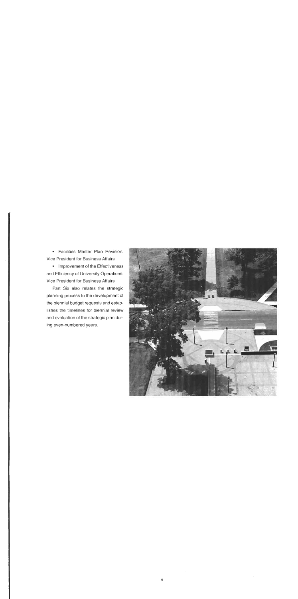Facilities Master Plan Revision: Vice President for Business Affairs

• Improvement of the Effectiveness and Efficiency of University Operations: Vice President for Business Affairs

Part Six also relates the strategic planning process to the development of the biennial budget requests and establishes the timelines for biennial review and evaluation of the strategic plan during even-numbered years.

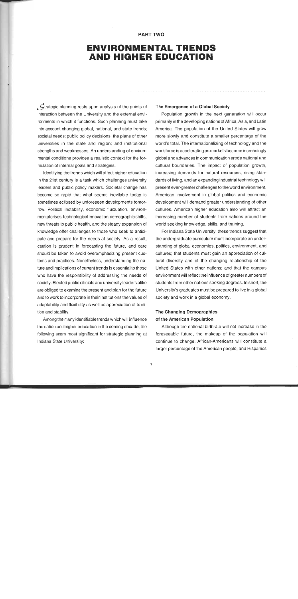### **PART TWO**

## **ENVIRONMENTAL TRENDS AND HIGHER EDUCATION**

 $\mathcal S$ trategic planning rests upon analysis of the points of interaction between the University and the external environments in which it functions. Such planning must take into account changing global, national, and state trends; societal needs; public policy decisions; the plans of other universities in the state and region; and institutional strengths and weaknesses. An understanding of environmental conditions provides a realistic context for the formulation of internal goals and strategies.

Identifying the trends which will affect higher education in the 21st century is a task which challenges university leaders and public policy makers. Societal change has become so rapid that what seems inevitable today is sometimes eclipsed by unforeseen developments tomorrow. Political instability, economic fluctuation, environmental crises, technological innovation, demographicshifts, new threats to public health, and the steady expansion of knowledge offer challenges to those who seek to anticipate and prepare for the needs of society. As a result, caution is prudent in forecasting the future, and care should be taken to avoid overemphasizing present customs and practices. Nonetheless, understanding the nature and implications of current trends is essential to those who have the responsibility of addressing the needs of society. Elected public officialsand university leaders alike are obliged to examine the present and plan for the future and to work to incorporate in their institutions the values of adaptability and flexibility as well as appreciation of tradition and stability.

Among the many identifiable trends which will influence the nation and higher education in the coming decade, the following seem most significant for strategic planning at Indiana State University:

#### The Emergence of a Global Society

Population growth in the next generation will occur primarily in the developing nationsof Africa, Asia, and Latin America. The population of the United States will grow more slowly and constitute a smaller percentage of the world's total. The internationalizing of technology and the work force is accelerating as markets become increasingly global and advances in communication erode national and cultural boundaries. The impact of population growth, increasing demands for natural resources, rising standards of living, and an expanding industrial technology will present ever-greater challenges to the world environment. American involvement in global politics and economic development will demand greater understanding of other cultures. American higher education also will attract an increasing number of students from nations around the world seeking knowledge, skills, and training.

For Indiana State University, these trends suggest that the undergraduate curriculum must incorporate an understanding of global economies, politics, environment, and cultures; that students must gain an appreciation of cultural diversity and of the changing relationship of the United States with other nations; and that the campus environment will reflect the influence of greater numbers of students from other nations seeking degrees. In short, the University's graduates must be prepared to live in a global society and work in a global economy.

## The Changing Demographics of the American Population

Although the national birthrate will not increase in the foreseeable future, the makeup of the population will continue to change. African-Americans will constitute a larger percentage of the American people, and Hispanics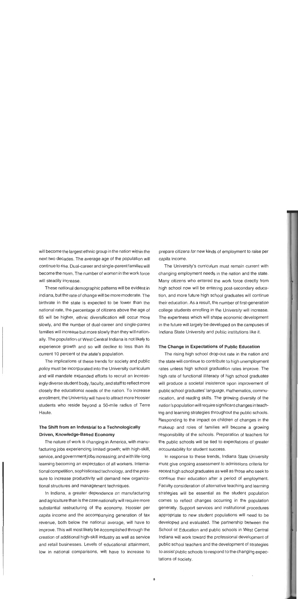will become the largest ethnic group in the nation within the next two decades. The average age of the population will continue to rise. Dual-career and single-parent families will become the norm. The number of women in the work force will steadily increase.

These national demographic patterns will be evident in Indiana, but the rate of change will be more moderate. The birthrate in the state is expected to be lower than the national rate, the percentage of citizens above the age of 65 will be higher, ethnic diversification will occur more slowly, and the number of dual-career and single-parent families will increase but more slowly than they will nationally. The population of West Central lndiana is not likely to experience growth and so will decline to less than its current 10 percent of the state's population.

The implications of these trends for society and public policy must be incorporated into the University curriculum and will mandate expanded efforts to recruit an increasingly diverse student body, faculty, and staff to reflect more closely the educational needs of the nation. To increase enrollment, the University will have to attract more Hoosier students who reside beyond a 50-mile radius of Terre Haute.

## The Shift from an Industrial to a Technologically Driven, Knowledge-Based Economy

The nature of work is changing in America, with manufacturing jobs experiencing limited growth; with high-skill, service, and government jobs increasing; and with life-long learning becoming an expectation of all workers. International competition, sophisticated technology, and the pressure to increase productivity will demand new organizational structures and management techniques.

In Indiana, a greater dependence on manufacturing and agriculture than is the case nationally will require more substantial restructuring of the economy. Hoosier per capita income and the accompanying generation of tax revenue, both below the national average, will have to improve. This will most likely be accomplished through the creation of additional high-skill industry as well as service and retail businesses. Levels of educational attainment, low in national comparisons, will have to increase to prepare citizens for new kinds of employment to raise per capita income.

The University's curriculum must remain current with changing employment needs in the nation and the state. Many citizens who entered the work force directly from high school now will be entering post-secondary education, and more future high school graduates will continue their education. As a result, the number of first-generation college students enrolling in the University will increase. The expertness which will shape economic development in the future will largely be developed on the campuses of lndiana State University and public institutions like it.

#### The Change in Expectations of Public Education

The rising high school drop-out rate in the nation and the state will continue to contribute to high unemployment rates unless high school graduation rates improve. The high rate of functional illiteracy of high school graduates will produce a societal insistence upon improvement of public school graduates' language, mathematics, communication, and reading skills. The growing diversity of the nation's population will require significant changes in teaching and learning strategies throughout the public schools. Responding to the impact on children of changes in the makeup and roles of families will become a growing responsibility of the schools. Preparation of teachers for the public schools will be tied to expectations of greater accountability for student success.

In response to these trends, lndiana State University must give ongoing assessment to admissions criteria for recent high school graduates as well as those who seek to continue their education after a period of employment. Faculty consideration of alternative teaching and learning strategies will be essential as the student population comes to reflect changes occurring in the population generally. Support services and institutional procedures appropriate to new student populations will need to be developed and evaluated. The partnership between the School of Education and public schools in West Central lndiana will work toward the professional development of public school teachers and the development of strategies to assist public schools to respond to the changing expectations of society.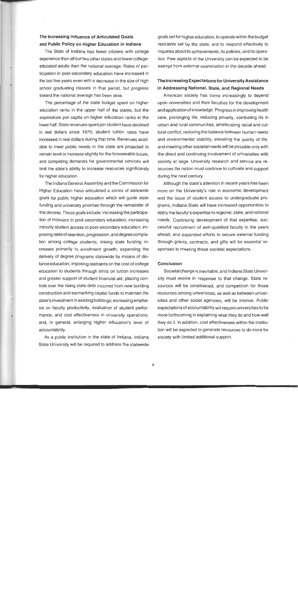## **The** lncreasing Influence of Articulated Goals **and** Public Policy on Higher Education in lndiana

The State of lndiana has fewer citizens with college experience than all but two other states and fewer collegeeducated adults than the national average. Rates of participation in post-secondary education have increased in the last five years even with a decrease in the size of high school graduating classes in that period, but progress toward the national average has been slow.

The percentage of the state budget spent on higher education ranks in the upper half of the states, but the expenditure per capita on higher education ranks in the lower half. State revenues spent per student have declined in real dollars since 1975; student tuition rates have increased in real dollars during that time. Revenues available to meet public needs in the state are projected to remain level or increase slightly for the foreseeable future, and competing demands for governmental services will limit the state's ability to increase resources significantly for higher education.

The lndiana General Assembly and the Commission for Higher Education have articulated a series of statewide goals for public higher education which will guide state funding and university priorities through the remainder of this decade. Those goals include: increasing the participation of Hoosiers in post-secondary education; increasing minority student access to post-secondary education; improving rates of retention, progression, and degree completion among college students; linking state funding increases primarily to enrollment growth; expanding the delivery of degree programs statewide by means of distance education; imposing restraints on the cost of college education to students through limits on tuition increases and greater support of student financial aid; placing controls over the rising state debt incurred from new building construction and earmarking capital funds to maintain the state's investment in existing buildings; increasing emphasis on faculty productivity, evaluation of student performance, and cost effectiveness in university operations; and, in general, enlarging higher education's level of accountability.

As a public institution in the state of Indiana, lndiana State University will be required to address the statewide

goals set for higher education, to operate within the budget restraints set by the state, and to respond effectively to inquiries about its achievements, its policies, and its operation. Few aspects of the University can be expected to be exempt from external examination in the decade ahead.

### The lncreasing Expectationsfor University Assistance in Addressing National, State, and Regional Needs

American society has come increasingly to depend upon universities and their faculties for the development and application of knowledge. Progress in improving health care, prolonging life, reducing poverty, combating ills in urban and rural communities, ameliorating racial and cultural conflict, restoring the balance between human needs and environmental stability, elevating the quality of life, and meeting other societal needs will be possible only with the direct and continuing involvement of universities with society at large. University research and service are resources the nation must continue to cultivate and support during the next century.

Although the state's attention in recent years has been more on the University's role in economic development and the issue of student access to undergraduate programs, lndiana State will have increased opportunities to apply the faculty's expertise to regional, state, and national needs. Continuing development of that expertise, successful recruitment of well-qualified faculty in the years ahead, and expanded efforts to secure external funding through grants, contracts, and gifts will be essential responses to meeting these societal expectations.

#### Conclusion

Societal change is inevitable, and lndiana State University must evolve in response to that change. State resources will be constrained, and competition for those resources among universities, as well as between universities and other social agencies, will be intense. Public expectations of accountability will require universities to be more forthcoming in explaining what they do and how well they do it. In addition, cost effectiveness within the institution will be expected to generate resources to do more for society with limited additional support.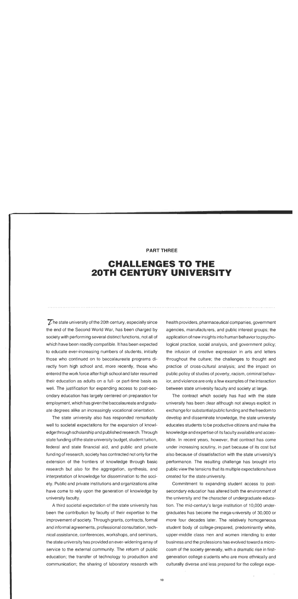### **PART THREE**

## **CHALLENGES TO THE 20TH CENTURY UNIVERSITY**

 $\overline{Z}$  he state university of the 20th century, especially since the end of the Second World War, has been charged by society with performing several distinct functions, not all of which have been readily compatible. It has been expected to educate ever-increasing numbers of students, initially those who continued on to baccalaureate programs directly from high school and, more recently, those who entered the work force after high school and later resumed their education as adults on a full- or part-time basis as well. The justification for expanding access to post-secondary education has largely centered on preparation for employment, which has given the baccalaureate and graduate degrees alike an increasingly vocational orientation.

The state university also has responded remarkably well to societal expectations for the expansion of knowledge through scholarship and published research. Through state funding of the state university budget, student tuition, federal and state financial aid, and public and private funding of research, society has contracted not only for the extension of the frontiers of knowledge through basic research but also for the aggregation, synthesis, and interpretation of knowledge for dissemination to the society. Public and private institutions and organizations alike have come to rely upon the generation of knowledge by university faculty.

A third societal expectation of the state university has been the contribution by faculty of their expertise to the improvement of society. Through grants, contracts, formal and informal agreements, professional consultation, technical assistance, conferences, workshops, and seminars, the state university has provided an ever-widening array of service to the external community. The reform of public education; the transfer of technology to production and communication; the sharing of laboratory research with

health providers, pharmaceutical companies, government agencies, manufacturers, and public interest groups; the application of new insights into human behavior to psychological practice, social analysis, and government policy; the infusion of creative expression in arts and letters throughout the culture; the challenges to thought and practice of cross-cultural analysis; and the impact on public policy of studies of poverty, racism, criminal behavior, and violence are only a few examples of the interaction between state university faculty and society at large.

The contract which society has had with the state university has been clear although not always explicit: in exchange for substantial public funding and the freedom to develop and disseminate knowledge, the state university educates students to be productive citizens and make the knowledge and expertise of its faculty available and accessible. In recent years, however, that contract has come under increasing scrutiny, in part because of its cost but also because of dissatisfaction with the state university's performance. The resulting challenge has brought into public view the tensions that its multiple expectations have created for the state university.

Commitment to expanding student access to postsecondary education has altered both the environment of the university and the character of undergraduate education. The mid-century's large institution of 10,000 undergraduates has become the mega-university of 30,000 or more four decades later. The relatively homogeneous student body of college-prepared, predominantly white, upper-middle class men and women intending to enter business and the professions has evolved toward a microcosm of the society generally, with a dramatic rise in firstgeneration college students who are more ethnically and culturally diverse and less prepared for the college expe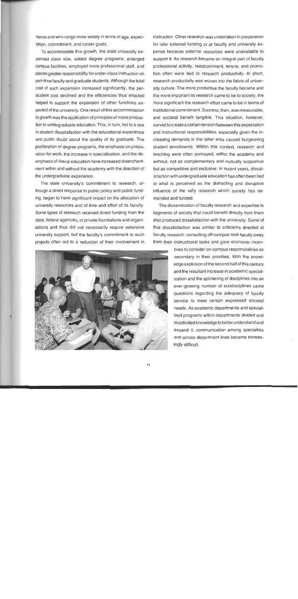rience and who range more widely in terms of age, expectation, commitment, and career goals.

To accommodate this growth, the state university expanded class size, added degree programs, enlarged campus facilities, employed more professional staff, and placed greater responsibility for under-class instruction on part-time faculty and graduate students. Although the total cost of such expansion increased significantly, the perstudent cost declined and the efficiencies thus effected helped to support the expansion of other functions expected of the university. One result of this accommodation to growth was the application of principles of mass production to undergraduate education. This, in turn, led to a rise in student dissatisfaction with the educational experience and public doubt about the quality of its graduate. The proliferation of degree programs, the emphasis on preparation for work, the increase in specialization, and the deemphasis of liberal education have increased disenchantment within and without the academy with the direction of the undergraduate experience.

The state university's commitment to research, although a direct response to public policy and public funding, began to have significant impact on the allocation of university resources and of time and effort of its faculty. Some types of research received direct funding from the state, federal agencies, or private foundations and organizations and thus did not necessarily require extensive university support, but the faculty's commitment to such projects often led to a reduction of their involvement in



instruction. Other research was undertaken in preparation for later external funding or at faculty and university expense because external resources were unavailable to support it. As research became an integral part of faculty professional activity, reappointment, tenure, and promotion often were tied to research productivity. In short, research productivity was woven into the fabric of university culture. The more productive the faculty became and the more important its research came to be to society, the more significant the research effort came to be in terms of institutional commitment. Success, then, was measurable, and societal benefit tangible. This situation, however, served to create a certain tension between this expectation and instructional responsibilities, especially given the increasing demands in the latter area caused burgeoning student enrollments. Within this context, research and teaching were often portrayed, within the academy and without, not as complementary and mutually supportive but as competitive and exclusive. In recent years, dissatisfaction with undergraduate education has often been tied to what is perceived as the distracting and disruptive influence of the very research which society has demanded and funded.

The dissemination of faculty research and expertise to segments of society that could benefit directly from them also produced dissatisfaction with the university. Some of that dissatisfaction was similar to criticisms directed at faculty research: consulting off-campus took faculty away from their instructional tasks and gave economic incen-

> tives to consider on-campus responsibilities as secondary in their priorities. With the knowledge explosion of the second half of this century and the resultant increase in academic specialization and the splintering of disciplines into an ever-growing number of subdisciplines came questions regarding the adequacy of faculty service to meet certain expressed societal needs. As academic departments and specialized programs within departments divided and subdivided knowledge to better understand and expand it, communication among specialists and across department lines became increasingly difficult.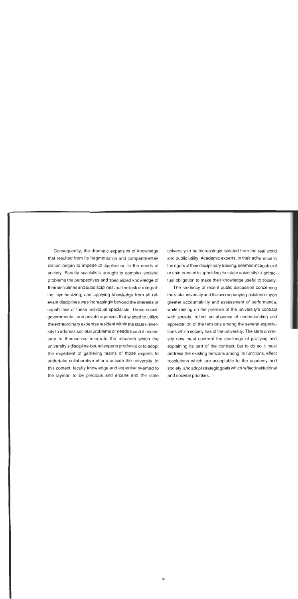Consequently, the dramatic expansion of knowledge that resulted from its fragmentation and compartmentalization began to impede its application to the needs of society. Faculty specialists brought to complex societal problems the perspectives and specialized knowledge of their disciplinesand subdisciplines, but the taskof integrating, synthesizing, and applying knowledge from all relevant disciplines was increasingly beyond the interests or capabilities of these individual specialists. Those social, governmental, and private agencies that wished to utilize the extraordinary expertise resident within the state university to address societal problems or needs found it necessary to themselves integrate the research which the university's discipline-bound experts produced or to adopt the expedient of gathering teams of those experts to undertake collaborative efforts outside the university. In this context, faculty knowledge and expertise seemed to the layman to be precious and arcane and the state university to be increasingly isolated from the real world and public utility. Academic experts, in their adherence to the rigors of their disciplinary training, seemed incapableof or uninterested in upholding the state university's contractual obligation to make their knowledge useful to society.

The stridency of recent public discussion concerning the state university and the accompanying insistence upon greater accountability and assessment of performance, while resting on the premise of the university's contract with society, reflect an absence of understanding and appreciation of the tensions among the several expectations which society has of the university. The state university now must confront the challenge of justifying and explaining its part of the contract, but to do so it must address the existing tensions among its functions, effect resolutions which are acceptable to the academy and society, and adopt strategic goals which reflect institutional and societal priorities.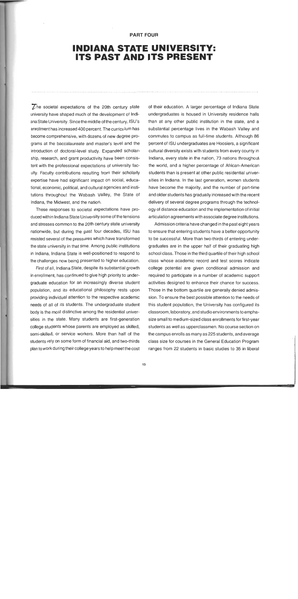#### **PART FOUR**

## **INDIANA STATE UNIVERSITY: ITS PAST AND ITS PRESENT**

 $\overline{Z}$ he societal expectations of the 20th century state university have shaped much of the development of IndianaState University. Since the middle of the century, ISU's enrollment has increased **400** percent. The curriculum has become comprehensive, with dozens of new degree programs at the baccalaureate and master's level and the introduction of doctoral-level study. Expanded scholarship, research, and grant productivity have been consistent with the professional expectations of university faculty. Faculty contributions resulting from their scholarly expertise have had significant impact on social, educational, economic, political, and cultural agencies and institutions throughout the Wabash Valley, the State of Indiana, the Midwest, and the nation.

These responses to societal expectations have produced within lndiana State University some of the tensions and stresses common to the 20th century state university nationwide, but during the past four decades, ISU has resisted several of the pressures which have transformed the state university in that time. Among public institutions in Indiana, lndiana State is well-positioned to respond to the challenges now being presented to higher education.

First of all, lndiana State, despite its substantial growth in enrollment, has continued to give high priority to undergraduate education for an increasingly diverse student population, and its educational philosophy rests upon providing individual attention to the respective academic needs of all of its students. The undergraduate student body is the most distinctive among the residential universities in the state. Many students are first-generation college students whose parents are employed as skilled, semi-skilled, or service workers. More than half of the students rely on some form of financial aid, and two-thirds plan to work during their college years to help meet the cost of their education. A larger percentage of lndiana State undergraduates is housed in University residence halls than at any other public institution in the state, and a substantial percentage lives in the Wabash Valley and commutes to campus as full-time students. Although 86 percent of ISU undergraduates are Hoosiers, a significant cultural diversity exists with students from every county in Indiana, every state in the nation, 73 nations throughout the world, and a higher percentage of African-American students than is present at other public residential universities in Indiana. In the last generation, women students have become the majority, and the number of part-time and older students has gradually increased with the recent delivery of several degree programs through the technology of distance education and the implementation of initial articulation agreements with associate degree institutions.

Admission criteria have changed in the past eight years to ensure that entering students have a better opportunity to be successful. More than two-thirds of entering undergraduates are in the upper half of their graduating high school class. Those in the third quartile of their high school class whose academic record and test scores indicate college potential are given conditional admission and required to participate in a number of academic support activities designed to enhance their chance for success. Those in the bottom quartile are generally denied admission. To ensure the best possible attention to the needs of this student population, the University has configured its classroom, laboratory, and studio environments to emphasize small to medium-sized class enrollments for first-year students as well as upperclassmen. No course section on the campus enrolls as many as 225 students, and average class size for courses in the General Education Program ranges from 22 students in basic studies to 35 in liberal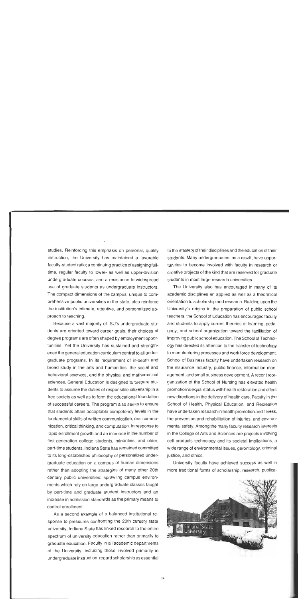studies. Reinforcing this emphasis on personal, quality instruction, the University has maintained a favorable faculty-student ratio; a continuing practice of assigning fulltime, regular faculty to lower- as well as upper-division undergraduate courses; and a resistance to widespread use of graduate students as undergraduate instructors. The compact dimensions of the campus, unique to comprehensive public universities in the state, also reinforce the institution's intimate, attentive, and personalized approach to teaching.

. .

Because a vast majority of ISU's undergraduate students are oriented toward career goals, their choices of degree programs are often shaped by employment opportunities. Yet the University has sustained and strengthened the general education curriculum central to all undergraduate programs. In its requirement of in-depth and broad study in the arts and humanities, the social and behavioral sciences, and the physical and mathematical sciences, General Education is designed to prepare students to assume the duties of responsible citizenship in a free society as well as to form the educational foundation of successful careers. The program also seeks to ensure that students attain acceptable competency levels in the fundamental skills of written communication, oral communication, critical thinking, and computation. In response to rapid enrollment growth and an increase in the number of first-generation college students, minorities, and older, part-time students, lndiana State has remained committed to its long-established philosophy of personalized undergraduate education on a campus of human dimensions rather than adopting the strategies of many other 20th century public universities: sprawling campus environments which rely on large undergraduate classes taught by part-time and graduate student instructors and an increase in admission standards as the primary means to control enrollment.

As a second example of a balanced institutional response to pressures confronting the 20th century state university, lndiana State has linked research to the entire spectrum of university education rather than primarily to graduate education. Faculty in all academic departments of the University, including those involved primarily in undergraduate instruction, regard scholarship as essential to the mastery of their disciplines and the education of their students. Many undergraduates, as a result, have opportunities to become involved with faculty in research or creative projects of the kind that are reserved for graduate students in most large research universities.

The University also has encouraged in many of its academic disciplines an applied as well as a theoretical orientation to scholarship and research. Building upon the University's origins in the preparation of public school teachers, the School of Education has encouraged faculty and students to apply current theories of learning, pedagogy, and school organization toward the facilitation of improving public school education. The School of Technology has directed its attention to the transfer of technology to manufacturing processes and work force development. School of Business faculty have undertaken research on the insurance industry, public finance, information management, and small business development. **A** recent reorganization of the School of Nursing has elevated health promotion to equal status with health restoration and offers new directions in the delivery of health care. Faculty in the School of Health, Physical Education, and Recreation have undertaken research in health promotion and fitness, the prevention and rehabilitation of injuries, and environmental safety. Among the many faculty research interests in the College of Arts and Sciences are projects involving cell products technology and its societal implications, a wide range of environmental issues, gerontology, criminal justice, and ethics.

University faculty have achieved success as well in more traditional forms of scholarship, research, publica-

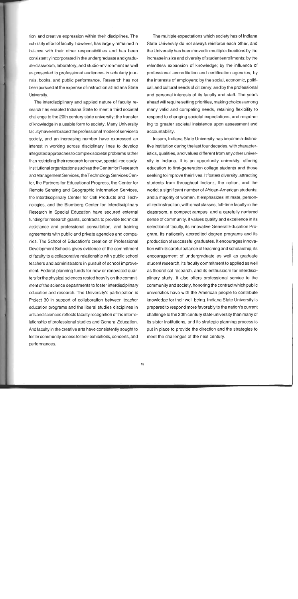tion, and creative expression within their disciplines. The scholarly effort of faculty, however, has largely remained in balance with their other responsibilities and has been consistently incorporated in the undergraduate and graduate classroom, laboratory, and studio environment as well as presented to professional audiences in scholarly journals, books, and public performance. Research has not been pursued at the expense of instruction at lndiana State University.

The interdisciplinary and applied nature of faculty research has enabled lndiana State to meet a third societal challenge to the 20th century state university: the transfer of knowledge in a usable form to society. Many University faculty have embraced the professional model of service to society, and an increasing number have expressed an interest in working across disciplinary lines to develop integratedapproaches tocomplex societal problems rather than restricting'their research to narrow, specialized study. Institutional organizations such as the Center for Research and Management Services, theTechnology Services Center, the Partners for Educational Progress, the Center for Remote Sensing and Geographic Information Services, the lnterdisciplinary Center for Cell Products and Technologies, and the Blumberg Center for lnterdisciplinary Research in Special Education have secured external funding for research grants, contracts to provide technical assistance and professional consultation, and training agreements with public and private agencies and companies. The School of Education's creation of Professional Development Schools gives evidence of the commitment of faculty to a collaborative relationship with public school teachers and administrators in pursuit of school improvement. Federal planning funds for new or renovated quartersforthe physical sciences rested heavily on the commitment of the science departments to foster interdisciplinary education and research. The University's participation in Project 30 in support of collaboration between teacher education programs and the liberal studies disciplines in arts and sciences reflects faculty recognition of the interrelationship of professional studies and General Education. And faculty in the creative arts have consistently sought to foster community access to their exhibitions, concerts, and performances.

The multiple expectations which society has of lndiana State University do not always reinforce each other, and the University has been moved in multiple directions by the increase in size and diversity of student enrollments; by the relentless expansion of knowledge; by the influence of professional accreditation and certification agencies; by the interests of employers; by the social, economic, political, and cultural needs of citizenry; and by the professional and personal interests of its faculty and staff. The years ahead will require setting priorities, making choices among many valid and competing needs, retaining flexibility to respond to changing societal expectations, and responding to greater societal insistence upon assessment and accountability.

In sum, lndiana State University has become a distinctive institution during the last four decades, with characteristics, qualities, and values different from any other university in Indiana. It is an opportunity university, offering education to first-generation college students and those seeking to improve their lives. It fosters diversity, attracting students from throughout Indiana, the nation, and the world; a significant number of African-American students; and a majority of women. It emphasizes intimate, personalized instruction, with small classes, full-time faculty in the classroom, a compact campus, and a carefully nurtured sense of community. It values quality and excellence in its selection of faculty, its innovative General Education Program, its nationally accredited degree programs and its production of successful graduates. It encourages innovation with itscareful balance of teaching and scholarship, its encouragement of undergraduate as well as graduate student research, its faculty commitment to applied as well as theoretical research, and its enthusiasm for interdisciplinary study. It also offers professional service to the community and society, honoring the contract which public universities have with the American people to contribute knowledge for their well-being. lndiana State University is prepared to respond more favorably to the nation's current challenge to the 20th century state university than many of its sister institutions, and its strategic planning process is put in place to provide the direction and the strategies to meet the challenges of the next century.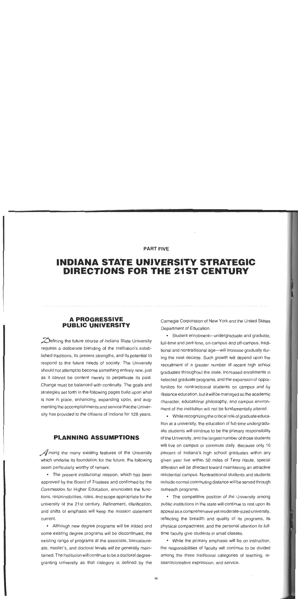### **PART FIVE**

## **INDIANA STATE UNIVERSITY STRATEGIC DIRECTIONS FOR THE 21ST CENTURY**

## **A PROGRESSIVE PUBLIC UNIVERSITY**

 $\mathcal{D}$ efining the future course of Indiana State University requires a deliberate blending of the institution's established traditions, its present strengths, and its potential to respond to the future needs of society. The University should not attempt to become something entirely new, just as it cannot be content merely to perpetuate its past. Change must be balanced with continuity. The goals and strategies set forth in the following pages build upon what is now in place, enhancing, expanding upon, and augmenting the accomplishments and service that the University has provided to the citizens of Indiana for 128 years.

## **PLANNING ASSUMPTIONS**

 $\mathcal A$  mong the many existing features of the University which underlie its foundation for the future, the following seem particularly worthy of remark:

The present institutional mission, which has been approved by the Board of Trustees and confirmed by the Commission for Higher Education, enunciates the functions, responsibilities, roles, and scope appropriate for the university of the 21st century. Refinement, clarification, and shifts of emphasis will keep the mission statement current.

Although new degree programs will be added and some existing degree programs will be discontinued, the existing range of programs at the associate, baccalaureate, master's, and doctoral levels will be generally maintained. The institution will continue to be a doctoral degreegranting university as that category is defined by the Carnegie Corporation of New York and the United States Department of Education.

• Student enrollment-undergraduate and graduate, full-time and part-time, on-campus and off-campus, traditional and nontraditional age-will increase gradually during the next decade. Such growth will depend upon the recruitment of a greater number of recent high school graduates throughout the state, increased enrollments in selected graduate programs, and the expansion of opportunities for nontraditional students on campus and by distance education, but it will be managed so the academic character, educational philosophy, and campus environment of the institution will not be fundamentally altered.

While recognizing the critical role of graduate education at a university, the education of full-time undergraduate students will continue to be the primary responsibility of the University, and the largest number of those students will live on campus or commute daily. Because only 10 percent of Indiana's high school graduates within any given year live within 50 miles of Terre Haute, special attention will be directed toward maintaining an attractive residential campus. Nontraditional students and students outside normal commuting distance will be served through outreach programs.

The competitive position of the University among public institutions in the state will continue to rest upon its appeal as a comprehensive yet moderate-sized university, reflecting the breadth and quality of its programs, its physical compactness, and the personal attention its fulltime faculty give students in small classes.

While the primary emphasis will be on instruction, the responsibilities of faculty will continue to be divided among the three traditional categories of teaching, research/creative expression, and service.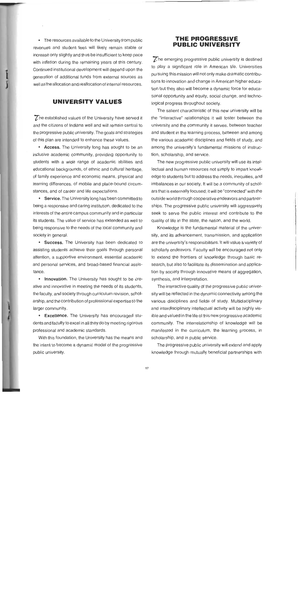The resources available to the University from public revenues and student fees will likely remain stable or increase only slightly and thus be insufficient to keep pace with inflation during the remaining years of this century. Continued institutional development will depend upon the generation of additional funds from external sources as well as the allocation and reallocation of internal resources.

## **UNIVERSITY VALUES**

The established values of the University have served it and the citizens of Indiana well and will remain central to the progressive public university. The goals and strategies of this plan are intended to enhance these values.

• Access. The University long has sought to be an inclusive academic community, providing opportunity to students with a wide range of academic abilities and educational backgrounds, of ethnic and cultural heritage, of family experience and economic means, physical and learning differences, of mobile and place-bound circumstances, and of career and life expectations.

**Service.** The University long has been committed to being a responsive and caring institution, dedicated to the interests of the entire campus community and in particular its students. The value of service has extended as well to being responsive to the needs of the local community and society in general.

**Success.** The University has been dedicated to assisting students achieve their goals through personal attention, a supportive environment, essential academic and personal services, and broad-based financial assistance.

• Innovation. The University has sought to be creative and innovative in meeting the needs of its students, thefaculty, and society through curriculum revision, scholarship, and the contribution of professional expertise to the larger community.

Excellence. The University has encouraged students and faculty to excel in all they do by meeting rigorous professional and academic standards.

With this foundation, the University has the means and the intent to become a dynamic model of the progressive public university.

## **THE PROGRESSIVE PUBLIC UNIVERSITY**

 $\overline{Z}$  he emerging progressive public university is destined to play a significant role in American life. Universities pursuing this mission will not only make dramatic contributions to innovation and change in American higher education but they also will become a dynamic force for educational opportunity and equity, social change, and technological progress throughout society.

The salient characteristic of this new university will be the "interactive" relationships it will foster between the university and the community it serves, between teacher and student in the learning process, between and among the various academic disciplines and fields of study, and among the university's fundamental missions of instruction, scholarship, and service.

The new progressive public university will use its intellectual and human resources not simply to impart knowledge to students but to address the needs, inequities, and imbalances in our society. It will be a community of scholars that is externally focused; it will be "connected" with the outside world through cooperative endeavors and partnerships. The progressive public university will aggressively seek to serve the public interest and contribute to the quality of life in the state, the nation, and the world.

Knowledge is the fundamental material of the university, and its advancement, transmission, and application are the university's responsibilities. It will value a variety of scholarly endeavors. Faculty will be encouraged not only to extend the frontiers of knowledge through basic research, but also to facilitate its dissemination and application by society through innovative means of aggregation, synthesis, and interpretation.

The interactive quality of the progressive public university will be reflected in the dynamic connectivity among the various disciplines and fields of study. Multidisciplinary and interdisciplinary intellectual activity will be highly visible and valued in the life of this new progressive academic community. The interrelationship of knowledge will be manifested in the curriculum, the learning process, in scholarship, and in public service.

The progressive public university will extend and apply knowledge through mutually beneficial partnerships with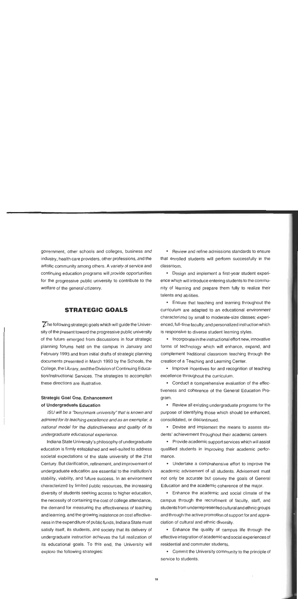government, other schools and colleges, business and industry, health care providers, other professions, and the artistic community among others. A variety of service and continuing education programs will provide opportunities for the progressive public university to contribute to the welfare of the general citizenry.

## **STRATEGIC GOALS**

 $\mathbb Z$  he following strategic goals which will guide the University of the present toward the progressive public university of the future emerged from discussions in four strategic planning forums held on the campus in January and February 1993 and from initial drafts of strategic planning documents presented in March 1993 by the Schools, the College, the Library, and the Division of Continuing Education/lnstructional Services. The strategies to accomplish these directions are illustrative.

## Strategic Goal One. Enhancement of Undergraduate Education

ISU will be a "benchmark university" that is known and admired for its teaching excellence and as an exemplar, a national model for the distinctiveness and quality of its undergraduate educational experience.

Indiana State University's philosophy of undergraduate education is firmly established and well-suited to address societal expectations of the state university of the 21st Century. But clarification, refinement, and improvement of undergraduate education are essential to the institution's stability, viability, and future success. In an environment characterized by limited public resources, the increasing diversity of students seeking access to higher education, the necessity of containing the cost of college attendance, the demand for measuring the effectiveness of teaching and learning, and the growing insistence on cost effectiveness in the expenditure of public funds, Indiana State must satisfy itself, its students, and society that its delivery of undergraduate instruction achieves the full realization of its educational goals. To this end, the University will explore the following strategies:

Review and refine admissions standards to ensure that enrolled students will perform successfully in the classroom.

Design and implement a first-year student experience which will introduce entering students to the community of learning and prepare them fully to realize their talents and abilities.

Ensure that teaching and learning throughout the curriculum are adapted to an educational environment characterized by small to moderate-size classes; experienced, full-time faculty; and personalized instruction which is responsive to diverse student learning styles.

• Incorporate in the instructional effort new, innovative forms of technology which will enhance, expand, and complement traditional classroom teaching through the creation of a Teaching and Learning Center.

• Improve incentives for and recognition of teaching excellence throughout the curriculum.

Conduct a comprehensive evaluation of the effectiveness and coherence of the General Education Program.

• Review all existing undergraduate programs for the purpose of identifying those which should be enhanced, consolidated, or discontinued.

Devise and implement the means to assess students' achievement throughout their academic careers.

Provide academic support services which will assist qualified students in improving their academic performance.

Undertake a comprehensive effort to improve the academic advisement of all students. Advisement must not only be accurate but convey the goals of General Education and the academic coherence of the major.

Enhance the academic and social climate of the campus through the recruitment of faculty, staff, and students from underrepresented cultural and ethnicgroups and through the active promotion of support for and appreciation of cultural and ethnic diversity.

Enhance the quality of campus life through the effective integration of academicand social experiencesof residential and commuter students.

Commit the University community to the principle of service to students.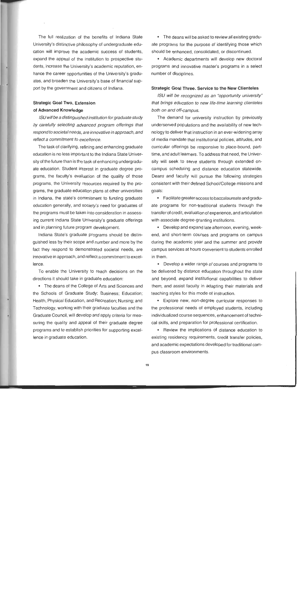The full realization of the benefits of lndiana State University's distinctive philosophy of undergraduate education will improve the academic success of students, expand the appeal of the institution to prospective students, increase the University's academic reputation, enhance the career opportunities of the University's graduates, and broaden the University's base of financial support by the government and citizens of Indiana.

## Strategic Goal Two. Extension **of** Advanced Knowledge

ISU will be a distinguished institution for graduate study by carefully selecting advanced program offerings that respond to societalneeds, are innovative in approach, and reflect a commitment to excellence.

The task of clarifying, refining and enhancing graduate education is no less important to the lndiana State University of the future than is the task of enhancing undergraduate education. Student interest in graduate degree programs, the faculty's evaluation of the quality of those programs, the University resources required by the programs, the graduate education plans at other universities in Indiana, the state's commitment to funding graduate education generally, and society's need for graduates of the programs must be taken into consideration in assessing current lndiana State University's graduate offerings and in planning future program development.

lndiana State's graduate programs should be distinguished less by their scope and number and more by the fact they respond to demonstrated societal needs, are innovative in approach, and reflect acommitment to excellence.

To enable the University to reach decisions on the directions it should take in graduate education:

The deans of the College of Arts and Sciences and the Schools of Graduate Study; Business; Education; Health, Physical Education, and Recreation; Nursing; and Technology, working with their graduate faculties and the Graduate Council, will develop and apply criteria for measuring the quality and appeal of their graduate degree programs and to establish priorities for supporting excellence in graduate education.

The deans will be asked to review all existing graduate programs for the purpose of identifying those which should be enhanced, consolidated, or discontinued.

Academic departments will develop new doctoral programs and innovative master's programs in a select number of disciplines.

#### Strategic Goal Three. Service to the New Clienteles

ISU will be recognized as an "oppotiunity university" that brings education to new life-time learning clienteles both on and off-campus.

The demand for university instruction by previously underserved populations and the availability of new technology to deliver that instruction in an ever-widening array of media mandate that institutional policies, attitudes, and curricular offerings be responsive to place-bound, parttime, and adult learners. To address that need, the University will seek to serve students through extended oncampus scheduling and distance education statewide. Deans and faculty will pursue the following strategies consistent with their defined School/College missions and goals:

Facilitate greateraccess to baccalaureate and graduate programs for non-traditional students through the transfer of credit, evaluation of experience, and articulation with associate degree-granting institutions.

Develop and expand late afternoon, evening, weekend, and short-term courses and programs on campus during the academic year and the summer and provide campus services at hours convenient to students enrolled in them.

Develop a wider range of courses and programs to be delivered by distance education throughout the state and beyond, expand institutional capabilities to deliver them, and assist faculty in adapting their materials and teaching styles for this mode of instruction.

Explore new, non-degree curricular responses to the professional needs of employed students, including individualized course sequences, enhancement of technical skills, and preparation for professional certification.

• Review the implications of distance education to existing residency requirements, credit transfer policies, and academic expectations developed for traditional campus classroom environments.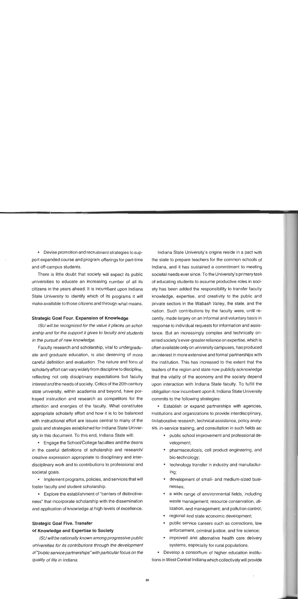Devise promotion and recruitment strategies to support expanded course and program offerings for part-time and off-campus students.

There is little doubt that society will expect its public universities to educate an increasing number of all its citizens in the years ahead. It is incumbent upon lndiana State University to identify which of its programs it will make available to those citizens and through what means.

#### Strategic Goal Four. Expansion of Knowledge

ISU will be recognized for the value it places on scholarship and for the support it gives to faculty and students in the pursuit of new knowledge.

Faculty research and scholarship, vital to undergraduate and graduate education, is also deserving of more careful definition and evaluation. The nature and form of scholarly effort can vary widely from discipline to discipline, reflecting not only disciplinary expectations but faculty interest and the needs of society. Critics of the 20th century state university, within academia and beyond, have portrayed instruction and research as competitors for the attention and energies of the faculty. What constitutes appropriate scholarly effort and how it is to be balanced with instructional effort are issues central to many of the goals and strategies established for lndiana State University in this document. To this end, lndiana State will:

Engage the School/College faculties and the deans in the careful definitions of scholarship and research/ creative expression appropriate to disciplinary and interdisciplinary work and to contributions to professional and societal goals.

• Implement programs, policies, and services that will foster faculty and student scholarship.

Explore the establishment of "centers of distinctiveness" that incorporate scholarship with the dissemination and application of knowledge at high levels of excellence.

## Strategic Goal Five. Transfer of Knowledge and Expertise to Society

ISU will be nationally known among progressive public universities for its contributions through the development of 'public service partnerships" with particular focus on the quality of life in Indiana.

lndiana State University's origins reside in a pact with the state to prepare teachers for the common schools of Indiana, and it has sustained a commitment to meeting societal needs ever since. To the University's primary task of educating students to assume productive roles in society has been added the responsibility to transfer faculty knowledge, expertise, and creativity to the public and private sectors in the Wabash Valley, the state, and the nation. Such contributions by the faculty were, until recently, made largely on an informal and voluntary basis in response to individual requests for information and assistance. But an increasingly complex and technically oriented society's ever-greater reliance on expertise, which is often available only on universitycampuses, has produced an interest in more extensive and formal partnerships with the institution. This has increased to the extent that the leaders of the region and state now publicly acknowledge that the vitality of the economy and the society depend upon interaction with lndiana State faculty. To fulfill the obligation now incumbent upon it, lndiana State University commits to the following strategies:

Establish or expand partnerships with agencies, institutions and organizations to provide interdisciplinary, collaborative research, technical assistance, policy analysis, in-service training, and consultation in such fields as:

- public school improvement and professional development;
- pharmaceuticals, cell product engineering, and bio-technology;
- technology transfer in industry and manufacturing;
- development of small- and medium-sized businesses;
- a wide range of environmental fields, including ٠ waste management; resource conservation, utilization, and management; and pollution control;
- regional and state economic development;
- public service careers such as corrections, law enforcement, criminal justice, and fire science;
- improved and alternative health care delivery systems, especially for rural populations.

Develop a consortium of higher education institutions in West Central lndiana which collectively will provide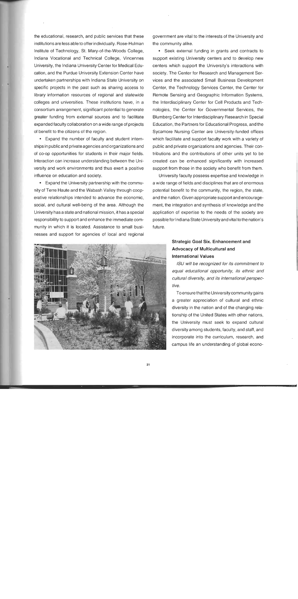the educational, research, and public services that these institutions are less able to offer individually. Rose-Hulman Institute of Technology, St. Mary-of-the-Woods College, lndiana Vocational and Technical College, Vincennes University, the lndiana University Center for Medical Education, and the Purdue University Extension Center have undertaken partnerships with lndiana State University on specific projects in the past such as sharing access to library information resources of regional and statewide colleges and universities. These institutions have, in a consortium arrangement, significant potential to generate greater funding from external sources and to facilitate expanded faculty collaboration on a wide range of projects of benefit to the citizens of the region.

Expand the number of faculty and student internships in publicand private agencies and organizations and of co-op opportunities for students in their major fields. Interaction can increase understanding between the University and work environments and thus exert a positive influence on education and society.

Expand the University partnership with the community of Terre Haute and the Wabash Valley through cooperative relationships intended to advance the economic, social, and cultural well-being of the area. Although the University has a state and national mission, it has a special responsibility to support and enhance the immediate community in which it is located. Assistance to small businesses and support for agencies of local and regional



government are vital to the interests of the University and the community alike.

Seek external funding in grants and contracts to support existing University centers and to develop new centers which support the University's interactions with society. The Center for Research and Management Services and the associated Small Business Development Center, the Technology Services Center, the Center for Remote Sensing and Geographic Information Systems, the Interdisciplinary Center for Cell Products and Technologies, the Center for Governmental Services, the Blumberg Center for Interdisciplinary Research in Special Education, the Partners for Educational Progress, and the Sycamore Nursing Center are University-funded offices which facilitate and support faculty work with a variety of public and private organizations and agencies. Their contributions and the contributions of other units yet to be created can be enhanced significantly with increased support from those in the society who benefit from them.

University faculty possess expertise and knowledge in a wide range of fields and disciplines that are of enormous potential benefit to the community, the region, the state, and the nation. Given appropriate support and encouragement, the integration and synthesis of knowledge and the application of expertise to the needs of the society are possible for lndiana State University and vital to the nation's future.

## **Strategic Goal Six. Enhancement and Advocacy of Multicultural and International Values**

ISU will be recognized for its commitment to equal educational opportunity, its ethnic and cultural diversity, and its international perspective.

To ensure that the University community gains a greater appreciation of cultural and ethnic diversity in the nation and of the changing relationship of the United States with other nations, the University must seek to expand cultural diversity among students, faculty, and staff, and incorporate into the curriculum, research, and campus life an understanding of global econo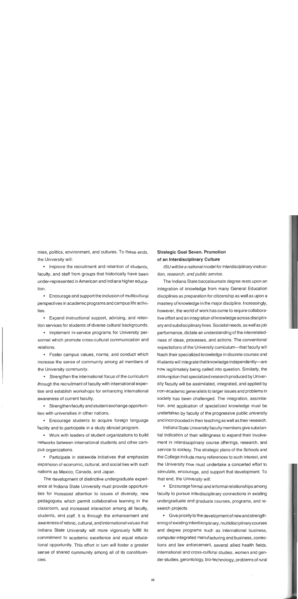mies, politics, environment, and cultures. To these ends, the University will:

• Improve the recruitment and retention of students, faculty, and staff from groups that historically have been under-represented in American and lndiana higher education.

Encourage and support the inclusion of multicultural perspectives in academic programs and campus life activities.

Expand instructional support, advising, and retention services for students of diverse cultural backgrounds.

• Implement in-service programs for University personnel which promote cross-cultural communication and relations.

Foster campus values, norms, and conduct which increase the sense of community among all members of the University community.

Strengthen the international focus of the curriculum through the recruitment of faculty with international expertise and establish workshops for enhancing international awareness of current faculty.

Strengthen faculty and student exchange opportunities with universities in other nations.

Encourage students to acquire foreign language facility and to participate in a study abroad program.

Work with leaders of student organizations to build networks between international students and other campus organizations.

• Participate in statewide initiatives that emphasize expansion of economic, cultural, and social ties with such nations as Mexico, Canada, and Japan.

The development of distinctive undergraduate experience at lndiana State University must provide opportunities for increased attention to issues of diversity, new pedagogues which permit collaborative learning in the classroom, and increased interaction among all faculty, students, and staff. It is through the enhancement and awarenessof ethnic, cultural, and international values that lndiana State University will more vigorously fulfill its commitment to academic excellence and equal educational opportunity. This effort in turn will foster a greater sense of shared community among all of its constituencies.

## Strategic Goal Seven. Promotion of an Interdisciplinary Culture

ISU will be a national model for interdisciplinary instruction, research, and public service.

The lndiana State baccalaureate degree rests upon an integration of knowledge from many General Education disciplines as preparation for citizenship as well as upon a mastery of knowledge in the major discipline. Increasingly, however, the world of work has come to require collaborative effort and an integration of knowledge across disciplinary and subdisciplinary lines. Societal needs, as well as job performance, dictate an understanding of the interrelatedness of ideas, processes, and actions. The conventional expectations of the University curriculum-that faculty will teach their specialized knowledge in discrete courses and students will integrate that knowledge independently-are now legitimately being called into question. Similarly, the assumption that specialized research produced by University faculty will be assimilated, integrated, and applied by non-academic generalists to larger issues and problems in society has been challenged. The integration, assimilation, and application of specialized knowledge must be undertaken by faculty of the progressive public university and incorporated in their teaching as well as their research.

Indiana State University faculty members give substantial indication of their willingness to expand their involvement in interdisciplinary course offerings, research, and service to society. The strategic plans of the Schools and the College include many references to such interest, and the University now must undertake a concerted effort to stimulate, encourage, and support that development. To that end, the University will:

Encourage formal and informal relationships among faculty to pursue interdisciplinary connections in existing undergraduate and graduate courses, programs, and research projects.

Give priority to the development of new and strengthening of existing interdisciplinary, multidisciplinary courses and degree programs such as international business, computer integrated manufacturing and business, corrections and law enforcement, several allied health fields, international and cross-cultural studies, women and gender studies, gerontology, bio-technology, problemsof rural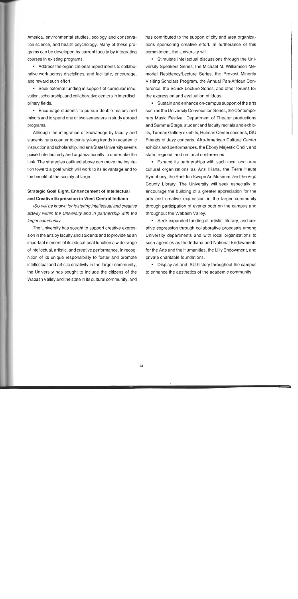America, environmental studies, ecology and conservation science, and health psychology. Many of these programs can be developed by current faculty by integrating courses in existing programs.

Address the organizational impediments to collaborative work across disciplines, and facilitate, encourage, and reward such effort.

Seek external funding in support of curricular innovation, scholarship, and collaborative centers in interdisciplinary fields.

Encourage students to pursue double majors and minors and to spend one or two semesters in study abroad programs.

Although the integration of knowledge by faculty and students runs counter to century-long trends in academic instruction and scholarship, Indiana State University seems poised intellectually and organizationally to undertake the task. The strategies outlined above can move the institution toward a goal which will work to its advantage and to the benefit of the society at large.

### Strategic Goal Eight. Enhancement of Intellectual and Creative Expression in West Central Indiana

ISU will be known for fostering intellectual and creative activity within the University and in partnership with the larger community.

The University has sought to support creative expression in the arts by faculty and students and to provide as an important element of its educational function a wide range of intellectual, artistic, and creative performance. In recognition of its unique responsibility to foster and promote intellectual and artistic creativity in the larger community, the University has sought to include the citizens of the Wabash Valley and the state in its cultural community, and

has contributed to the support of city and area organizations sponsoring creative effort. In furtherance of this commitment, the University will:

Stimulate intellectual discussions through the University Speakers Series, the Michael M. Williamson Memorial Residency/Lecture Series, the Provost Minority Visiting Scholars Program, the Annual Pan-African Conference, the Schick Lecture Series, and other forums for the expression and evaluation of ideas.

Sustain and enhance on-campus support of the arts such as the University Convocation Series, the Contemporary Music Festival, Department of Theater productions and SummerStage, student and faculty recitals and exhibits, Turman Gallery exhibits, Hulman Center concerts, ISU Friends of Jazz concerts, Afro-American Cultural Center exhibits and performances, the Ebony Majestic Choir, and state, regional and national conferences.

Expand its partnerships with such local and area cultural organizations as Arts Illiana, the Terre Haute Symphony, the Sheldon Swope Art Museum, and the Vigo County Library. The University will seek especially to encourage the building of a greater appreciation for the arts and creative expression in the larger community through participation of events both on the campus and throughout the Wabash Valley.

Seek expanded funding of artistic, literary, and creative expression through collaborative proposals among University departments and with local organizations to such agencies as the lndiana and National Endowments for the Arts and the Humanities, the Lilly Endowment, and private charitable foundations.

Display art and ISU history throughout the campus to enhance the aesthetics of the academic community.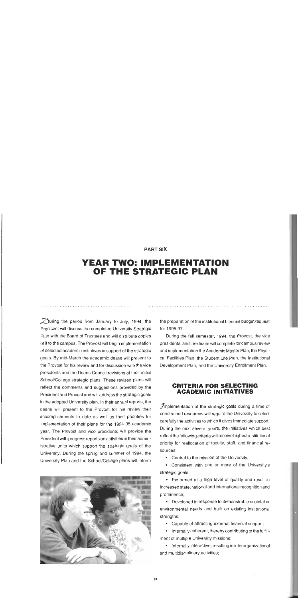#### **PART SIX**

## **YEAR TWO: IMPLEMENTATION OF THE STRATEGIC PLAN**

 $\mathcal D$ uring the period from January to July, 1994, the the preparation of the institutional biennial budget request President will discuss the completed University Strategic for 1995-97. Plan with the Board of Trustees and will distribute copies During the fall semester, 1994, the Provost, the vice of it to the campus. The Provost will begin implementation presidents, and the deans will complete for campus review of selected academic initiatives in support of the strategic and implementation the Academic Master Plan, the Physigoals. By mid-March the academic deans will present to cal Facilities Plan, the Student Life Plan, the Institutional the Provost for his review and for discussion with the vice Development Plan, and the University Enrollment Plan. presidents and the Deans Council revisions of their initial School/College strategic plans. These revised plans will reflect the comments and suggestions provided by the **CRITERIA FOR SELECTING**<br>**ACADEMIC INITIATIVES** President and Provost and will address the strategic goals in the adopted University plan. In their annual reports, the deans will present to the Provost for his review their  $\mathcal{J}$ mplementation of the strategic goals during a time of constrained resources will require the University to select accomplishments to date as well as their priorities for carefully the activities to which it gives immediate support. implementation of their plans for the 1994-95 academic year. The Provost and vice presidents will provide the During the next several years, the initiatives which best<br>Preflect the following criteria will receive highest institutional President with progress reports on activities in their admin-University. During the spring and summer of 1994, the sources: University Plan and the School/College plans istrative units which support the strategic goals of the



priority for reallocation of faculty, staff, and financial re-

• Central to the mission of the University;

**•** Consistent with one or more of the University's strategic goals;

Performed at a high level of quality and result in increased state, national and international recognition and prominence;

Developed in response to demonstrable societal or environmental needs and built on existing institutional strengths;

Capable of attracting external financial support;

Internally coherent, thereby contributing to the fulfillment of multiple University missions;

• Internally interactive, resulting in interorganizational and multidisciplinary activities;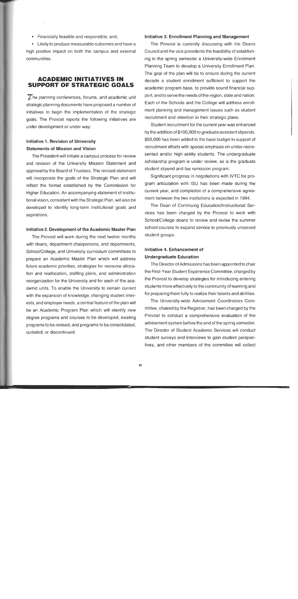- Financially feasible and responsible; and,
- Likely to produce measurable outcomes and have a

high positive impact on both the campus and external communities.

### **ACADEMIC INITIATIVES IN SUPPORT OF STRATEGIC GOALS**

The planning conferences, forums, and academic unit strategic planning documents have proposed a number of initiatives to begin the implementation of the strategic goals. The Provost reports the following initiatives are under development or under way:

## **lnitiative 1. Revision of University Statements of Mission and Vision**

The President will initiate a campus process for review and revision of the University Mission Statement and approval by the Board of Trustees. The revised statement will incorporate the goals of the Strategic Plan and will reflect the format established by the Commission for Higher Education. An accompanying statement of institutional vision, consistent with the Strategic Plan, will also be developed to identify long-term institutional goals and aspirations.

#### **lnitiative 2. Development of the Academic Master Plan**

The Provost will work during the next twelve months with deans, department chairpersons, and departments, School/College, and University curriculum committees to prepare an Academic Master Plan which will address future academic priorities, strategies for resource allocation and reallocation, staffing plans, and administration reorganization for the University and for each of the academic units. To enable the University to remain current with the expansion of knowledge, changing student interests, and employer needs, a central feature of the plan will be an Academic Program Plan which will identify new degree programs and courses to be developed, existing programs to be revised, and programs to be consolidated, curtailed, or discontinued.

#### **lnitiative 3. Enrollment Planning and Management**

The Provost is currently discussing with the Deans Council and the vice presidents the feasibility of establishing in the spring semester a University-wide Enrollment Planning Team to develop a University Enrollment Plan. The goal of the plan will be to ensure during the current decade a student enrollment sufficient to support the academic program base, to provide sound financial support, and to serve the needs of the region, state and nation. Each of the Schools and the College will address enrollment planning and management issues such as student recruitment and retention in their strategic plans.

Student recruitment for the current year was enhanced by the addition of \$100,000 to graduate assistant stipends. \$50,000 has been added to the base budget in support of recruitment efforts with special emphasis on under-represented and/or high ability students. The undergraduate scholarship program is under review, as is the graduate student stipend and fee remission program.

Significant progress in negotiations with IVTC for program articulation with ISU has been made during the current year, and completion of a comprehensive agreement between the two institutions is expected in 1994.

The Dean of Continuing Education/lnstructional Services has been charged by the Provost to work with School/College deans to review and revise the summer school courses to expand service to previously unserved student groups.

### **lnitiative 4. Enhancement of Undergraduate Education**

The Director of Admissions has been appointed to chair the First-Year Student Experience Committee, charged by the Provost to develop strategies for introducing entering students more effectively to the community of learning and for preparing them fully to realize their talents and abilities.

The University-wide Advisement Coordinators Committee, chaired by the Registrar, has been charged by the Provost to conduct a comprehensive evaluation of the advisement system before the end of the spring semester. The Director of Student Academic Services will conduct student surveys and interviews to gain student perspectives, and other members of the committee will collect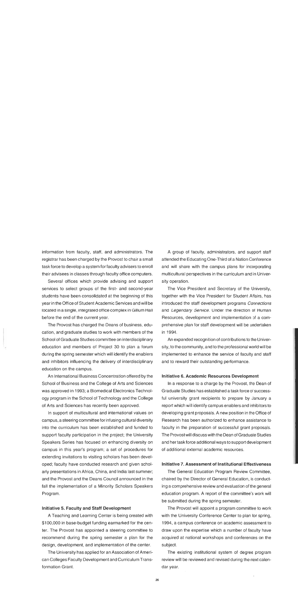information from faculty, staff, and administrators. The registrar has been charged by the Provost to chair a small task force to develop a system for faculty advisers to enroll their advisees in classes through faculty office computers.

Several offices which provide advising and support services to select groups of the first- and second-year students have been consolidated at the beginning of this year in the Office of Student Academic Services and will be located in a single, integrated office complex in Gillum Hall before the end of the current year.

The Provost has charged the Deans of business, education, and graduate studies to work with members of the School of Graduate Studies committee on interdisciplinary education and members of Project 30 to plan a forum during the spring semester which will identify the enablers and inhibitors influencing the delivery of interdisciplinary education on the campus.

An International Business Concentration offered by the School of Business and the College of Arts and Sciences was approved in 1993; a Biomedical Electronics Technology program in the School of Technology and the College of Arts and Sciences has recently been approved.

In support of multicultural and international values on campus, a steering committee for infusing cultural diversity into the curriculum has been established and funded to support faculty participation in the project; the University Speakers Series has focused on enhancing diversity on campus in this year's program; a set of procedures for extending invitations to visiting scholars has been developed; faculty have conducted research and given scholarly presentations in Africa, China, and India last summer; and the Provost and the Deans Council announced in the fall the implementation of a Minority Scholars Speakers Program.

#### lnitiative **5.** Faculty and Staff Development

A Teaching and Learning Center is being created with \$1 00,000 in base-budget funding earmarked for the center. The Provost has appointed a steering committee to recommend during the spring semester a plan for the design, development, and implementation of the center.

The University has applied for an Association of American Colleges Faculty Development and Curriculum Transformation Grant.

A group of faculty, administrators, and support staff attended the Educating One-Third of a Nation Conference and will share with the campus plans for incorporating multicultural perspectives in the curriculum and in University operation.

The Vice President and Secretary of the University, together with the Vice President for Student Affairs, has introduced the staff development programs Connections and Legendary Service. Under the direction of Human Resources, development and implementation of a comprehensive plan for staff development will be undertaken in 1994.

An expanded recognition of contributions to the University, to the community, and to the professional world will be implemented to enhance the service of faculty and staff and to reward their outstanding performance.

#### lnitiative **6.** Academic Resources Development

In a response to a charge by the Provost, the Dean of Graduate Studies has established a task force of successful university grant recipients to prepare by January a report which will identify campus enablers and inhibitors to developing grant proposals. A new position in the Office of Research has been authorized to enhance assistance to faculty in the preparation of successful grant proposals. The Provost will discuss with the Dean of Graduate Studies and her task force additional ways to support development of additional external academic resources.

#### Initiative **7.** Assessment of Institutional Effectiveness

The General Education Program Review Committee, chaired by the Director of General Education, is conducting a comprehensive review and evaluation of the general education program. A report of the committee's work will be submitted during the spring semester.

The Provost will appoint a program committee to work with the University Conference Center to plan for spring, 1994, a campus conference on academic assessment to draw upon the expertise which a number of faculty have acquired at national workshops and conferences on the subject.

The existing institutional system of degree program review will be reviewed and revised during the next calendar year.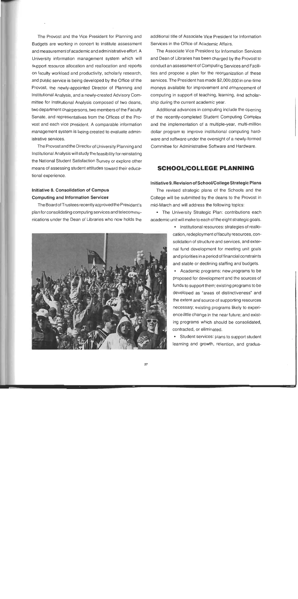The Provost and the Vice President for Planning and Budgets are working in concert to institute assessment and measurement of academic and administrative effort. A University information management system which will support resource allocation and reallocation and reports on faculty workload and productivity, scholarly research, and public service is being developed by the Office of the Provost, the newly-appointed Director of Planning and lnstitutional Analysis, and a newly-created Advisory Committee for lnstitutional Analysis composed of two deans, two department chairpersons, two members of the Faculty Senate, and representatives from the Offices of the Provost and each vice president. A comparable information management system is being created to evaluate administrative services.

The Provost and the Director of University Planning and lnstitutional Analysis will study the feasibility for reinstating the National Student Satisfaction Survey or explore other means of assessing student attitudes toward their educational experience.

### lnitiative **8.** Consolidation of Campus Computing and lnformation Services

The Board of Trustees recently approved the President's plan for consolidating computing services and telecommunications under the Dean of Libraries who now holds the



additional title of Associate Vice President for lnformation Services in the Office of Academic Affairs.

The Associate Vice President for lnformation Services and Dean of Libraries has been charged by the Provost to conduct an assessment of Computing Services and Facilities and propose a plan for the reorganization of these services. The President has made \$2,000,000 in one-time moneys available for improvement and enhancement of computing in support of teaching, learning, and scholarship during the current academic year.

Additional advances in computing include the opening of the recently-completed Student Computing Complex and the implementation of a multiple-year, multi-million dollar program to improve institutional computing hardware and software under the oversight of a newly-formed Committee for Administrative Software and Hardware.

## **SCHOOLICOLLEGE PLANNING**

#### lnitiative **9.** Revision of SchoollCollege Strategic Plans

The revised strategic plans of the Schools and the College will be submitted by the deans to the Provost in mid-March and will address the following topics:

The University Strategic Plan: contributions each academic unit will make to each of the eight strategic goals.

> lnstitutional resources: strategies of reallocation, redeployment of faculty resources, consolidation of structure and services, and external fund development for meeting unit goals and priorities in a period of financial constraints and stable or declining staffing and budgets.

> Academic programs: new programs to be proposed for development and the sources of funds to support them; existing programs to be developed as "areas of distinctiveness" and the extent and source of supporting resources necessary; existing programs likely to experience little change in the near future; and existing programs which should be consolidated, contracted, or eliminated.

> Student services: plans to support student learning and growth, retention, and gradua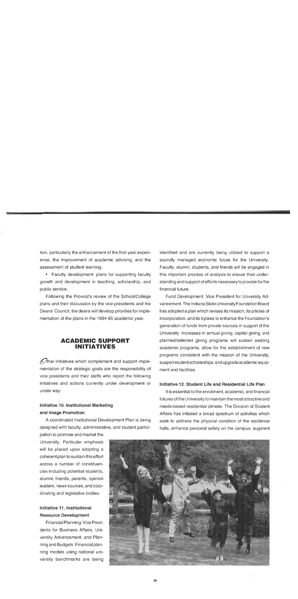tion, particularly the enhancement of the first year.experience, the improvement of academic advising, and the assessment of student learning.

• Faculty development: plans for supporting faculty growth and development in teaching, scholarship, and public service.

Following the Provost's review of the School/College plans and their discussion by the vice presidents and the Deans' Council, the deans will develop priorities for implementation of the plans in the 1994-95 academic year.

## **ACADEMIC SUPPORT INITIATIVES**

 $\mathcal{A}$ her initiatives which complement and support implementation of the strategic goals are the responsibility of vice presidents and their staffs who report the following initiatives and actions currently under development or under way:

## lnitiative **10.** lnstitutional Marketing and Image Promotion

A coordinated lnstitutional Development Plan is being designed with faculty, administrative, and student partici-

pation to promote and market the University. Particular emphasis will be placed upon adopting a coherent plan to sustain this effort across a number of constituencies including potential students, alumni, friends, parents, opinion leaders, news sources, and coordinating and legislative bodies.

## Initiative 11. lnstitutional Resource Development

Financial Planning: Vice Presidents for Business Affairs, University Advancement, and Planning and Budgets. Financial planning models using national university benchmarks are being identified and are currently being utilized to support a soundly managed economic future for the University. Faculty, alumni, students, and friends will be engaged in this important process of analysis to ensure their understanding and support of efforts necessary to provide for the financial future.

Fund Development: Vice President for University Advancement. The Indiana State University Foundation Board has adopted a plan which revises its mission, its articles of incorporation, and its bylaws to enhance the Foundation's generation of funds from private sources in support of the University. Increases in annual giving, capital giving, and planned/deferred giving programs will sustain existing academic programs, allow for the establishment of new programs consistent with the mission of the University, support student scholarships, and upgrade academic equipment and facilities.

#### Initiative **12.** Student Life and Residential Life Plan

It is essential to the enrollment, academic, and financial futures of the University to maintain the most attractive and needs-based residential climate. The Division of Student Affairs has initiated a broad spectrum of activities which seek to address the physical condition of the residence halls, enhance personal safety on the campus, augment

![](_page_28_Picture_14.jpeg)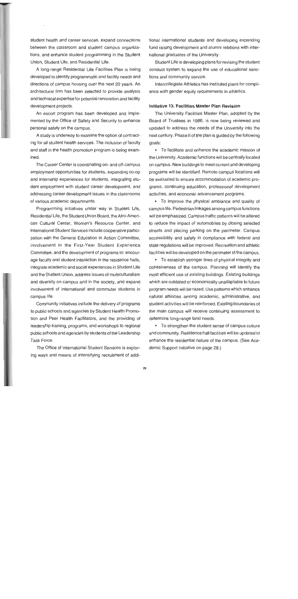student health and career services, expand connections between the classroom and student campus organizations, and enhance student programming in the Student Union, Student Life, and Residential Life.

A long-range Residential Life Facilities Plan is being developed to identify programmatic and facility needs and directions of campus housing over the next 20 years. An architectural firm has been selected to provide analysis and technical expertise for potential renovation and facility development projects.

An escort program has been developed and implemented by the Office of Safety and Security to enhance personal safety on the campus.

A study is underway to examine the option of contracting for all student health services. The inclusion of faculty and staff in the health promotion program is being examined.

The Career Center is coordinating on- and off-campus employment opportunities for students, expanding co-op and internship experiences for students, integrating student employment with student career development, and addressing career development issues in the classrooms of various academic departments.

Programming initiatives under way in Student Life, Residential Life, the Student Union Board, the Afro-American Cultural Center, Women's Resource Center, and International Student Services include cooperative participation with the General Education in Action Committee, involvement in the First-Year Student Experience Committee, and the development of programs to: encourage faculty and student interaction in the residence halls, integrate academic and social experiences in Student Life and the Student Union, address issues of multiculturalism and diversity on campus and in the society, and expand involvement of international and commuter students in campus life.

Community initiatives include the delivery of programs to public schools and agencies by Student Health Promotion and Peer Health Facilitators, and the providing of leadership training, programs, and workshops to regional public schools and agencies by students of the Leadership Task Force.

The Office of International Student Services is exploring ways and means of intensifying recruitment of additional international students and developing expanding fund raising development and alumni relations with international graduates of the University.

Student Life is developing plans for revising the student conduct system to expand the use of educational sanctions and community service.

Intercollegiate Athletics has instituted plans for compliance with gender equity requirements in athletics.

#### **Initiative 13. Facilities Master Plan Revision**

The University Facilities Master Plan, adopted by the Board of Trustees in 1986, is now being reviewed and updated to address the needs of the University into the next century. Phase II of the plan is guided by the following goals:

To facilitate and enhance the academic mission of the University. Academic functions will be centrally located on campus. New buildings to meet current and developing programs will be identified. Remote campus locations will be evaluated to ensure accommodation of academic programs, continuing education, professional development activities, and economic advancement programs.

To improve the physical ambiance and quality of campus life. Pedestrian linkages among campus functions will be emphasized. Campus traffic patterns will be altered to reduce the impact of automobiles by closing selected streets and placing parking on the perimeter. Campus accessibility and safety in compliance with federal and state regulations will be improved. Recreation and athletic facilities will be developed on the perimeter of the campus.

To establish stronger lines of physical integrity and cohesiveness of the campus. Planning will identify the most efficient use of existing buildings. Existing buildings which are outdated or economically unadaptable to future program needs will be razed. Use patterns which enhance natural affinities among academic, administrative, and student activities will be reinforced. Existing boundaries of the main campus will receive continuing assessment to determine long-range land needs.

To strengthen the student sense of campus culture and community. Residence hall facilities will be updated to enhance the residential nature of the campus. (See Academic Support Initiative on page 28.)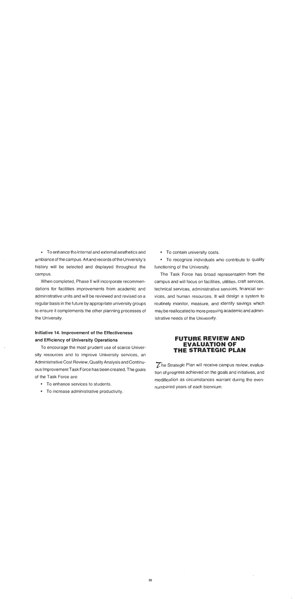• To enhance the internal and external aesthetics and • To contain university costs. ambiance of the campus. Art and records of the University's • To recognize individuals who contribute to quality history will be selected and displayed throughout the functioning of the University. campus. The Task Force has broad representation from the

dations for facilities improvements from academic and technical services, administrative services, financial seradministrative units and will be reviewed and revised on a vices, and human resources. It will design a system to regular basis in the future by appropriate university groups routinely monitor, measure, and identify savings which to ensure it complements the other planning processes of may be reallocated to more pressing academic and adminthe University. **istrative needs of the University.** istrative needs of the University.

## **Initiative 14. lmprovement of the Effectiveness and Efficiency of University Operations**

To encourage the most prudent use of scarce University resources and to improve University services, an Administrative Cost Review, Quality Analysis and Continu-<br>The Strategic Plan will receive campus review, evaluaous Improvement Task Force has been created. The goals tion of progress achieved on the goals and initiatives, and

- 
- To increase administrative productivity.

When completed, Phase II will incorporate recommen- campus and will focus on facilities, utilities, craft services,

### **FUTURE REVIEW AND EVALUATION OF THE STRATEGIC PLAN**

of the Task Force are: modification as circumstances warrant during the even-To enhance services to students. numbered years of each biennium.